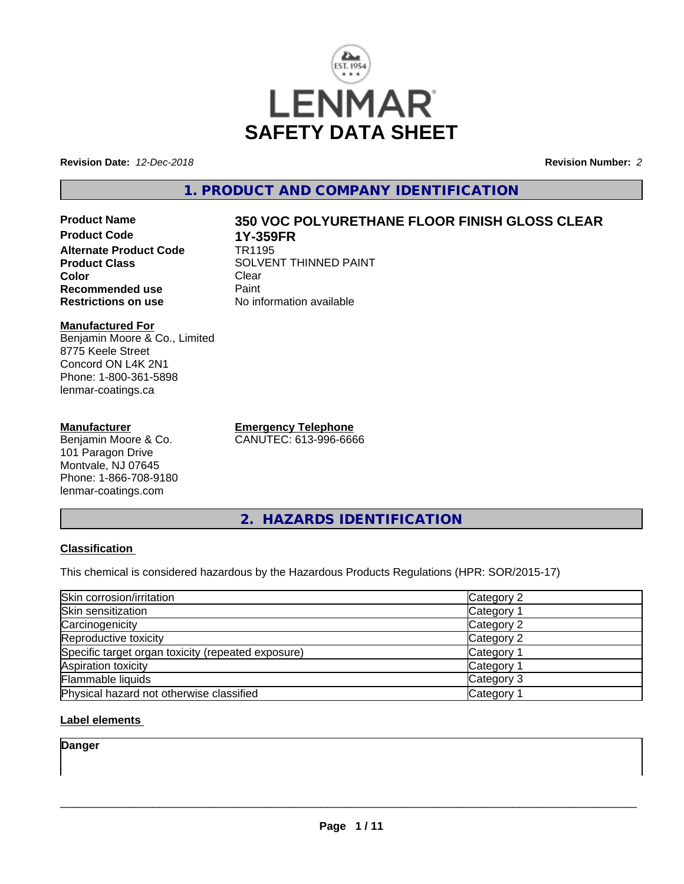

**Revision Date:** *12-Dec-2018* **Revision Number:** *2*

# **1. PRODUCT AND COMPANY IDENTIFICATION**

**Product Name 350 VOC POLYURETHANE FLOOR FINISH GLOSS CLEAR Product Code 1Y-359FR Alternate Product Code**<br>Product Class **Color** Clear Clear **Recommended use Faint Paint Paint Restrictions on use Fig. 2016** 

#### **Manufactured For** Benjamin Moore & Co., Limited 8775 Keele Street Concord ON L4K 2N1 Phone: 1-800-361-5898 lenmar-coatings.ca

### **Manufacturer**

Benjamin Moore & Co. 101 Paragon Drive Montvale, NJ 07645 Phone: 1-866-708-9180 lenmar-coatings.com

**Emergency Telephone** CANUTEC: 613-996-6666

**SOLVENT THINNED PAINT**<br>Clear

**No information available** 

**2. HAZARDS IDENTIFICATION**

## **Classification**

This chemical is considered hazardous by the Hazardous Products Regulations (HPR: SOR/2015-17)

| Skin corrosion/irritation                          | Category 2 |
|----------------------------------------------------|------------|
| Skin sensitization                                 | Category 1 |
| Carcinogenicity                                    | Category 2 |
| Reproductive toxicity                              | Category 2 |
| Specific target organ toxicity (repeated exposure) | Category 1 |
| Aspiration toxicity                                | Category 1 |
| Flammable liquids                                  | Category 3 |
| Physical hazard not otherwise classified           | Category 1 |

## **Label elements**

**Danger**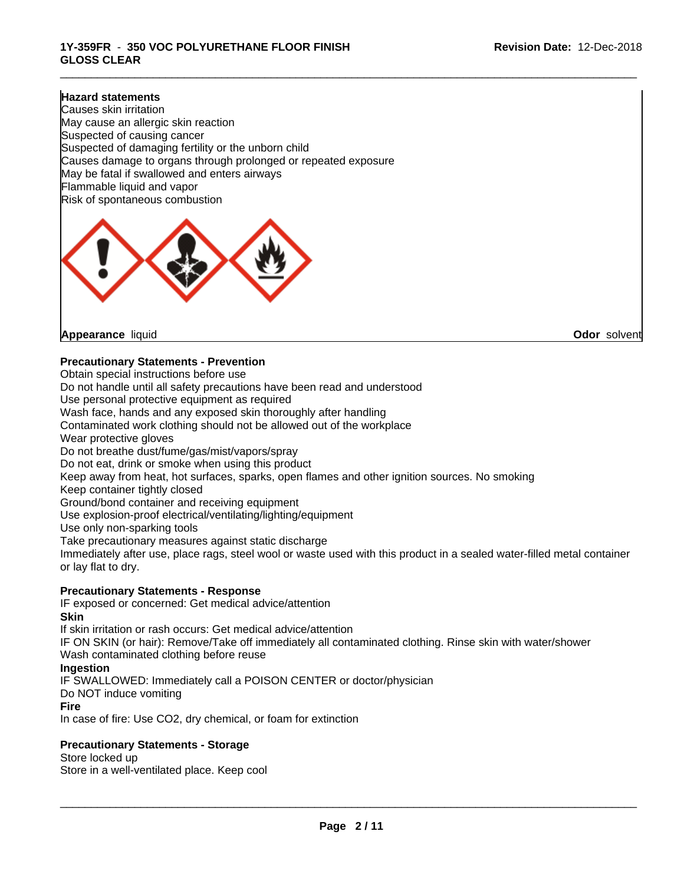\_\_\_\_\_\_\_\_\_\_\_\_\_\_\_\_\_\_\_\_\_\_\_\_\_\_\_\_\_\_\_\_\_\_\_\_\_\_\_\_\_\_\_\_\_\_\_\_\_\_\_\_\_\_\_\_\_\_\_\_\_\_\_\_\_\_\_\_\_\_\_\_\_\_\_\_\_\_\_\_\_\_\_\_\_\_\_\_\_\_\_\_\_

### **Hazard statements**

Causes skin irritation May cause an allergic skin reaction Suspected of causing cancer Suspected of damaging fertility or the unborn child Causes damage to organs through prolonged or repeated exposure May be fatal if swallowed and enters airways Flammable liquid and vapor Risk of spontaneous combustion



**Appearance** liquid **Odor** solvent

### **Precautionary Statements - Prevention**

Obtain special instructions before use Do not handle until all safety precautions have been read and understood Use personal protective equipment as required Wash face, hands and any exposed skin thoroughly after handling Contaminated work clothing should not be allowed out of the workplace Wear protective gloves Do not breathe dust/fume/gas/mist/vapors/spray Do not eat, drink or smoke when using this product Keep away from heat, hot surfaces, sparks, open flames and other ignition sources. No smoking Keep container tightly closed Ground/bond container and receiving equipment Use explosion-proof electrical/ventilating/lighting/equipment Use only non-sparking tools Take precautionary measures against static discharge Immediately after use, place rags, steel wool or waste used with this product in a sealed water-filled metal container or lay flat to dry. **Precautionary Statements - Response**

# IF exposed or concerned: Get medical advice/attention

**Skin**

If skin irritation or rash occurs: Get medical advice/attention

IF ON SKIN (or hair): Remove/Take off immediately all contaminated clothing. Rinse skin with water/shower Wash contaminated clothing before reuse

#### **Ingestion**

IF SWALLOWED: Immediately call a POISON CENTER or doctor/physician

Do NOT induce vomiting

#### **Fire**

In case of fire: Use CO2, dry chemical, or foam for extinction

## **Precautionary Statements - Storage**

Store locked up Store in a well-ventilated place. Keep cool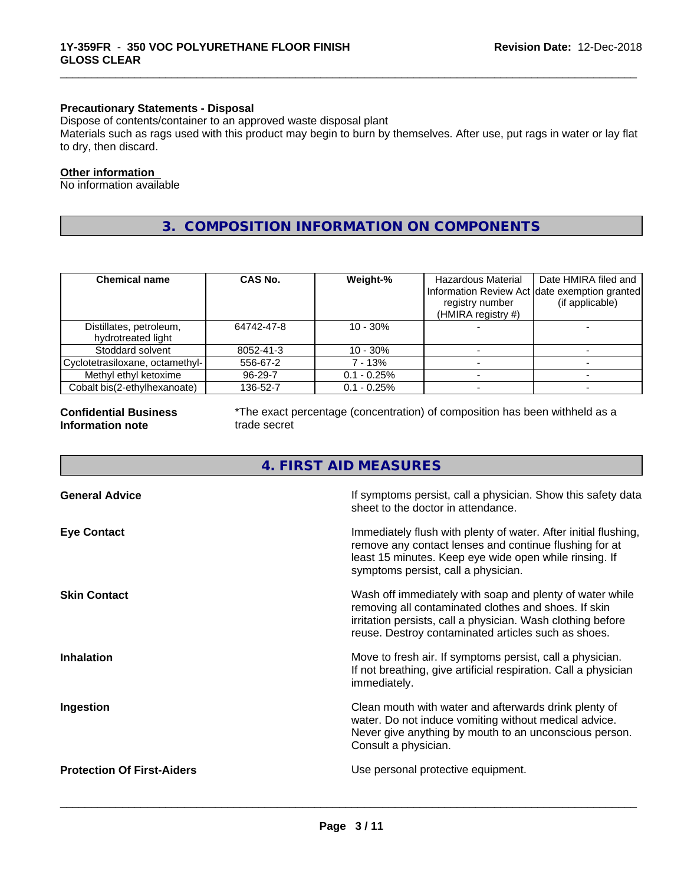## **Precautionary Statements - Disposal**

Dispose of contents/container to an approved waste disposal plant

Materials such as rags used with this product may begin to burn by themselves. After use, put rags in water or lay flat to dry, then discard.

\_\_\_\_\_\_\_\_\_\_\_\_\_\_\_\_\_\_\_\_\_\_\_\_\_\_\_\_\_\_\_\_\_\_\_\_\_\_\_\_\_\_\_\_\_\_\_\_\_\_\_\_\_\_\_\_\_\_\_\_\_\_\_\_\_\_\_\_\_\_\_\_\_\_\_\_\_\_\_\_\_\_\_\_\_\_\_\_\_\_\_\_\_

### **Other information**

No information available

# **3. COMPOSITION INFORMATION ON COMPONENTS**

| <b>Chemical name</b>                          | CAS No.    | Weight-%       | Hazardous Material<br>Information Review Act date exemption granted<br>registry number<br>(HMIRA registry #) | Date HMIRA filed and<br>(if applicable) |
|-----------------------------------------------|------------|----------------|--------------------------------------------------------------------------------------------------------------|-----------------------------------------|
| Distillates, petroleum,<br>hydrotreated light | 64742-47-8 | $10 - 30\%$    |                                                                                                              |                                         |
| Stoddard solvent                              | 8052-41-3  | $10 - 30\%$    |                                                                                                              |                                         |
| Cyclotetrasiloxane, octamethyl-               | 556-67-2   | 7 - 13%        |                                                                                                              |                                         |
| Methyl ethyl ketoxime                         | 96-29-7    | $0.1 - 0.25\%$ |                                                                                                              |                                         |
| Cobalt bis(2-ethylhexanoate)                  | 136-52-7   | $0.1 - 0.25\%$ |                                                                                                              |                                         |

#### **Confidential Business Information note**

\*The exact percentage (concentration) of composition has been withheld as a trade secret

# **4. FIRST AID MEASURES**

| <b>General Advice</b><br>If symptoms persist, call a physician. Show this safety data<br>sheet to the doctor in attendance.<br>Immediately flush with plenty of water. After initial flushing,<br><b>Eye Contact</b><br>remove any contact lenses and continue flushing for at<br>least 15 minutes. Keep eye wide open while rinsing. If<br>symptoms persist, call a physician.<br>Wash off immediately with soap and plenty of water while<br><b>Skin Contact</b><br>removing all contaminated clothes and shoes. If skin<br>irritation persists, call a physician. Wash clothing before<br>reuse. Destroy contaminated articles such as shoes.<br><b>Inhalation</b><br>Move to fresh air. If symptoms persist, call a physician.<br>If not breathing, give artificial respiration. Call a physician<br>immediately.<br>Clean mouth with water and afterwards drink plenty of<br>Ingestion<br>water. Do not induce vomiting without medical advice.<br>Never give anything by mouth to an unconscious person.<br>Consult a physician.<br><b>Protection Of First-Aiders</b><br>Use personal protective equipment. |  |
|-------------------------------------------------------------------------------------------------------------------------------------------------------------------------------------------------------------------------------------------------------------------------------------------------------------------------------------------------------------------------------------------------------------------------------------------------------------------------------------------------------------------------------------------------------------------------------------------------------------------------------------------------------------------------------------------------------------------------------------------------------------------------------------------------------------------------------------------------------------------------------------------------------------------------------------------------------------------------------------------------------------------------------------------------------------------------------------------------------------------|--|
|                                                                                                                                                                                                                                                                                                                                                                                                                                                                                                                                                                                                                                                                                                                                                                                                                                                                                                                                                                                                                                                                                                                   |  |
|                                                                                                                                                                                                                                                                                                                                                                                                                                                                                                                                                                                                                                                                                                                                                                                                                                                                                                                                                                                                                                                                                                                   |  |
|                                                                                                                                                                                                                                                                                                                                                                                                                                                                                                                                                                                                                                                                                                                                                                                                                                                                                                                                                                                                                                                                                                                   |  |
|                                                                                                                                                                                                                                                                                                                                                                                                                                                                                                                                                                                                                                                                                                                                                                                                                                                                                                                                                                                                                                                                                                                   |  |
|                                                                                                                                                                                                                                                                                                                                                                                                                                                                                                                                                                                                                                                                                                                                                                                                                                                                                                                                                                                                                                                                                                                   |  |
|                                                                                                                                                                                                                                                                                                                                                                                                                                                                                                                                                                                                                                                                                                                                                                                                                                                                                                                                                                                                                                                                                                                   |  |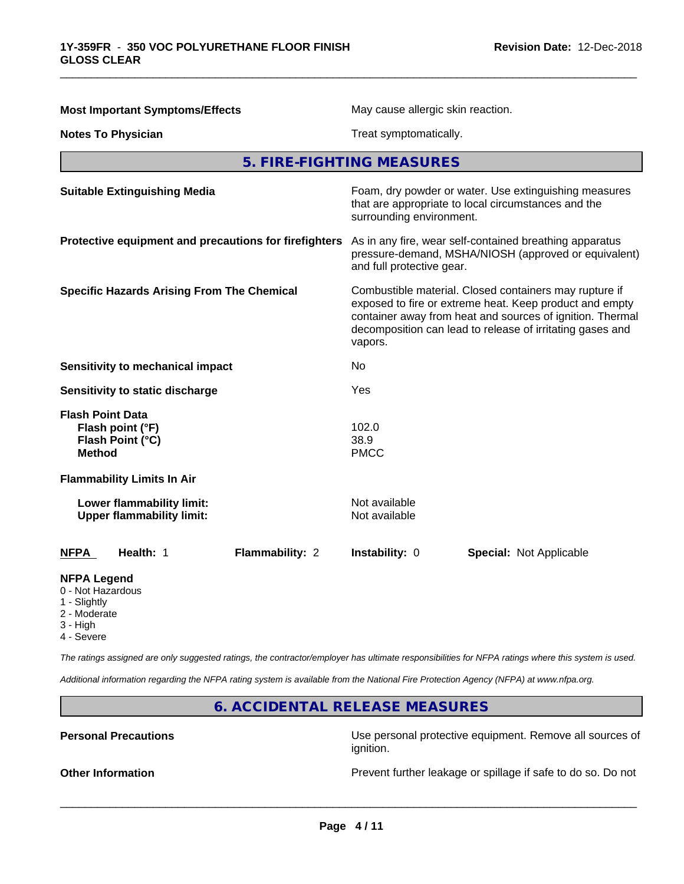| <b>Most Important Symptoms/Effects</b>                                           | May cause allergic skin reaction.                                                                                                                                                                                                                      |  |
|----------------------------------------------------------------------------------|--------------------------------------------------------------------------------------------------------------------------------------------------------------------------------------------------------------------------------------------------------|--|
| <b>Notes To Physician</b>                                                        | Treat symptomatically.                                                                                                                                                                                                                                 |  |
|                                                                                  | 5. FIRE-FIGHTING MEASURES                                                                                                                                                                                                                              |  |
| <b>Suitable Extinguishing Media</b>                                              | Foam, dry powder or water. Use extinguishing measures<br>that are appropriate to local circumstances and the<br>surrounding environment.                                                                                                               |  |
| Protective equipment and precautions for firefighters                            | As in any fire, wear self-contained breathing apparatus<br>pressure-demand, MSHA/NIOSH (approved or equivalent)<br>and full protective gear.                                                                                                           |  |
| <b>Specific Hazards Arising From The Chemical</b>                                | Combustible material. Closed containers may rupture if<br>exposed to fire or extreme heat. Keep product and empty<br>container away from heat and sources of ignition. Thermal<br>decomposition can lead to release of irritating gases and<br>vapors. |  |
| Sensitivity to mechanical impact                                                 | No                                                                                                                                                                                                                                                     |  |
| Sensitivity to static discharge                                                  | Yes                                                                                                                                                                                                                                                    |  |
| <b>Flash Point Data</b><br>Flash point (°F)<br>Flash Point (°C)<br><b>Method</b> | 102.0<br>38.9<br><b>PMCC</b>                                                                                                                                                                                                                           |  |
| <b>Flammability Limits In Air</b>                                                |                                                                                                                                                                                                                                                        |  |
| Lower flammability limit:<br><b>Upper flammability limit:</b>                    | Not available<br>Not available                                                                                                                                                                                                                         |  |
| <b>NFPA</b><br>Health: 1<br>Flammability: 2                                      | Instability: 0<br><b>Special: Not Applicable</b>                                                                                                                                                                                                       |  |
| <b>NFPA Legend</b><br>0 - Not Hazardous<br>1 - Slightly<br>2 - Moderate          |                                                                                                                                                                                                                                                        |  |

\_\_\_\_\_\_\_\_\_\_\_\_\_\_\_\_\_\_\_\_\_\_\_\_\_\_\_\_\_\_\_\_\_\_\_\_\_\_\_\_\_\_\_\_\_\_\_\_\_\_\_\_\_\_\_\_\_\_\_\_\_\_\_\_\_\_\_\_\_\_\_\_\_\_\_\_\_\_\_\_\_\_\_\_\_\_\_\_\_\_\_\_\_

- 3 High
- 4 Severe

*The ratings assigned are only suggested ratings, the contractor/employer has ultimate responsibilities for NFPA ratings where this system is used.*

*Additional information regarding the NFPA rating system is available from the National Fire Protection Agency (NFPA) at www.nfpa.org.*

# **6. ACCIDENTAL RELEASE MEASURES**

**Personal Precautions Precautions** Use personal protective equipment. Remove all sources of ignition.

**Other Information Discription** Prevent further leakage or spillage if safe to do so. Do not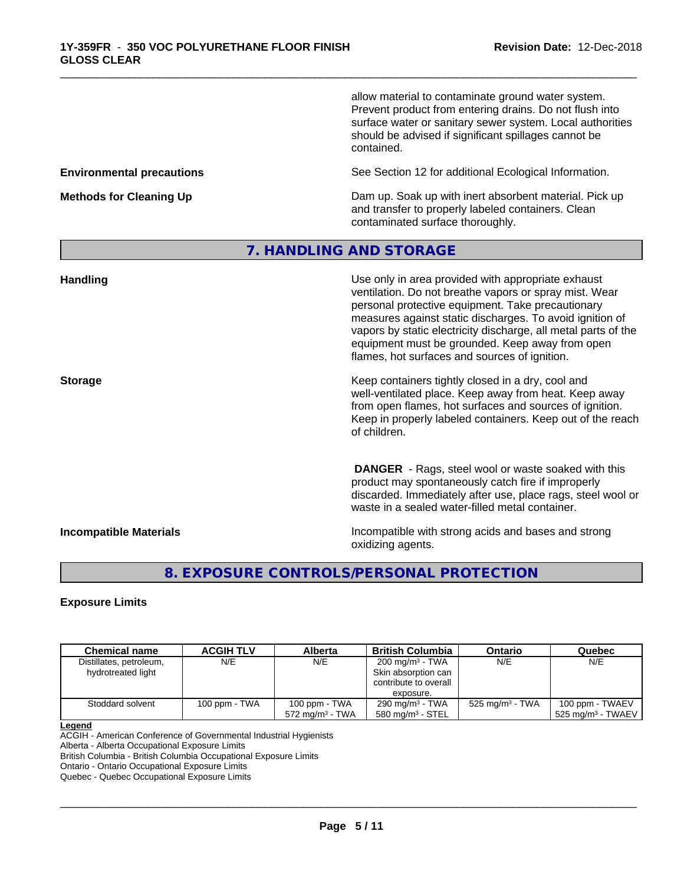allow material to contaminate ground water system. Prevent product from entering drains. Do not flush into surface water or sanitary sewer system. Local authorities should be advised if significant spillages cannot be contained.

**Environmental precautions** See Section 12 for additional Ecological Information.

**Methods for Cleaning Up** Dam up. Soak up with inert absorbent material. Pick up and transfer to properly labeled containers. Clean contaminated surface thoroughly.

# **7. HANDLING AND STORAGE**

\_\_\_\_\_\_\_\_\_\_\_\_\_\_\_\_\_\_\_\_\_\_\_\_\_\_\_\_\_\_\_\_\_\_\_\_\_\_\_\_\_\_\_\_\_\_\_\_\_\_\_\_\_\_\_\_\_\_\_\_\_\_\_\_\_\_\_\_\_\_\_\_\_\_\_\_\_\_\_\_\_\_\_\_\_\_\_\_\_\_\_\_\_

| <b>Handling</b>               | Use only in area provided with appropriate exhaust<br>ventilation. Do not breathe vapors or spray mist. Wear<br>personal protective equipment. Take precautionary<br>measures against static discharges. To avoid ignition of<br>vapors by static electricity discharge, all metal parts of the<br>equipment must be grounded. Keep away from open<br>flames, hot surfaces and sources of ignition. |
|-------------------------------|-----------------------------------------------------------------------------------------------------------------------------------------------------------------------------------------------------------------------------------------------------------------------------------------------------------------------------------------------------------------------------------------------------|
| <b>Storage</b>                | Keep containers tightly closed in a dry, cool and<br>well-ventilated place. Keep away from heat. Keep away<br>from open flames, hot surfaces and sources of ignition.<br>Keep in properly labeled containers. Keep out of the reach<br>of children.                                                                                                                                                 |
|                               | <b>DANGER</b> - Rags, steel wool or waste soaked with this<br>product may spontaneously catch fire if improperly<br>discarded. Immediately after use, place rags, steel wool or<br>waste in a sealed water-filled metal container.                                                                                                                                                                  |
| <b>Incompatible Materials</b> | Incompatible with strong acids and bases and strong<br>oxidizing agents.                                                                                                                                                                                                                                                                                                                            |

# **8. EXPOSURE CONTROLS/PERSONAL PROTECTION**

## **Exposure Limits**

| <b>Chemical name</b>                          | <b>ACGIH TLV</b> | Alberta                                     | <b>British Columbia</b>                                                                  | Ontario                     | Quebec                                             |
|-----------------------------------------------|------------------|---------------------------------------------|------------------------------------------------------------------------------------------|-----------------------------|----------------------------------------------------|
| Distillates, petroleum,<br>hydrotreated light | N/E              | N/E                                         | 200 mg/m <sup>3</sup> - TWA<br>Skin absorption can<br>contribute to overall<br>exposure. | N/E                         | N/E                                                |
| Stoddard solvent                              | 100 ppm - TWA    | 100 ppm - TWA<br>$572 \text{ ma/m}^3$ - TWA | $290 \text{ mg/m}^3$ - TWA<br>$580 \text{ mg/m}^3$ - STEL                                | 525 mg/m <sup>3</sup> - TWA | 100 ppm - TWAEV<br>$\,$ 525 ma/m $^3$ - TWAEV $\,$ |

#### **Legend**

ACGIH - American Conference of Governmental Industrial Hygienists

Alberta - Alberta Occupational Exposure Limits

British Columbia - British Columbia Occupational Exposure Limits

Ontario - Ontario Occupational Exposure Limits

Quebec - Quebec Occupational Exposure Limits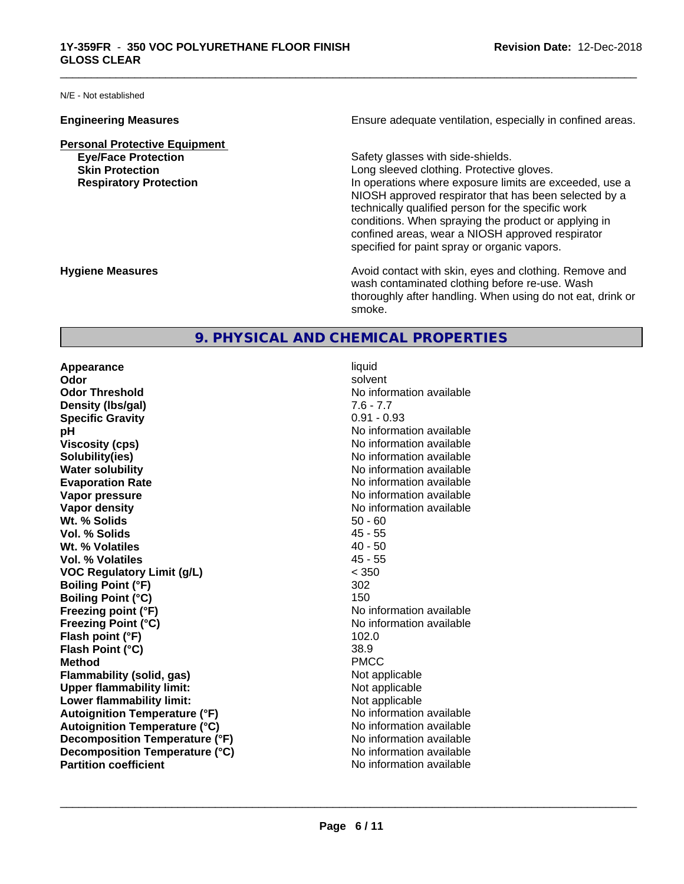N/E - Not established

**Personal Protective Equipment**

**Engineering Measures Ensure** Ensure adequate ventilation, especially in confined areas.

\_\_\_\_\_\_\_\_\_\_\_\_\_\_\_\_\_\_\_\_\_\_\_\_\_\_\_\_\_\_\_\_\_\_\_\_\_\_\_\_\_\_\_\_\_\_\_\_\_\_\_\_\_\_\_\_\_\_\_\_\_\_\_\_\_\_\_\_\_\_\_\_\_\_\_\_\_\_\_\_\_\_\_\_\_\_\_\_\_\_\_\_\_

**Eye/Face Protection Safety glasses with side-shields. Skin Protection Skin Protection Skin Protective gloves.** Long sleeved clothing. Protective gloves. **Respiratory Protection In operations where exposure limits are exceeded, use a** NIOSH approved respirator that has been selected by a technically qualified person for the specific work conditions. When spraying the product or applying in confined areas, wear a NIOSH approved respirator specified for paint spray or organic vapors.

**Hygiene Measures Avoid contact with skin, eyes and clothing. Remove and Avoid contact with skin, eyes and clothing. Remove and Avoid contact with skin, eyes and clothing. Remove and** wash contaminated clothing before re-use. Wash thoroughly after handling. When using do not eat, drink or smoke.

# **9. PHYSICAL AND CHEMICAL PROPERTIES**

**Appearance** liquid **Odor** solvent **Odor Threshold**<br> **Density (Ibs/aal)**<br> **Density (Ibs/aal)**<br> **No information available**<br>  $7.6 - 7.7$ **Density (Ibs/gal)** 7.6 - 7.7<br> **Specific Gravity** 3.1 2.2 2.2 2.2 2.2 2.2 2.93 **Specific Gravity pH** No information available **Viscosity (cps)** No information available **Solubility(ies)** No information available in the solution of the solution of the solution available in the solution of the solution of the solution of the solution of the solution of the solution of the solution of the so **Water solubility** No information available **Evaporation Rate No information available No information available Vapor pressure** No information available **No information available Vapor density Vapor density No information available Wt. % Solids** 50 - 60 **Vol. % Solids** 45 - 55 **Wt. % Volatiles** 40 - 50 **Vol. % Volatiles VOC Regulatory Limit (g/L)** < 350 **Boiling Point (°F)** 302 **Boiling Point (°C)** 150 **Freezing point (°F)** No information available **Freezing Point (°C)** No information available **Flash point (°F)** 102.0 **Flash Point (°C)** 38.9 **Method** PMCC **Flammability (solid, gas)**<br> **Commability limit:**<br>
Upper flammability limit:<br>
Not applicable **Upper flammability limit:**<br> **Lower flammability limit:**<br>
Not applicable<br>
Not applicable **Lower flammability limit:**<br> **Autoignition Temperature (°F)** Not applicable available and the Muslim Muslim Comments and Muslim Automation and the Muslim Comments and Muslim Comments and Muslim Comments and Muslim Comments **Autoignition Temperature (°F) Autoignition Temperature (°C)** No information available **Decomposition Temperature (°F)** No information available **Decomposition Temperature (°C)** No information available<br> **Partition coefficient Partition available** 

**No information available**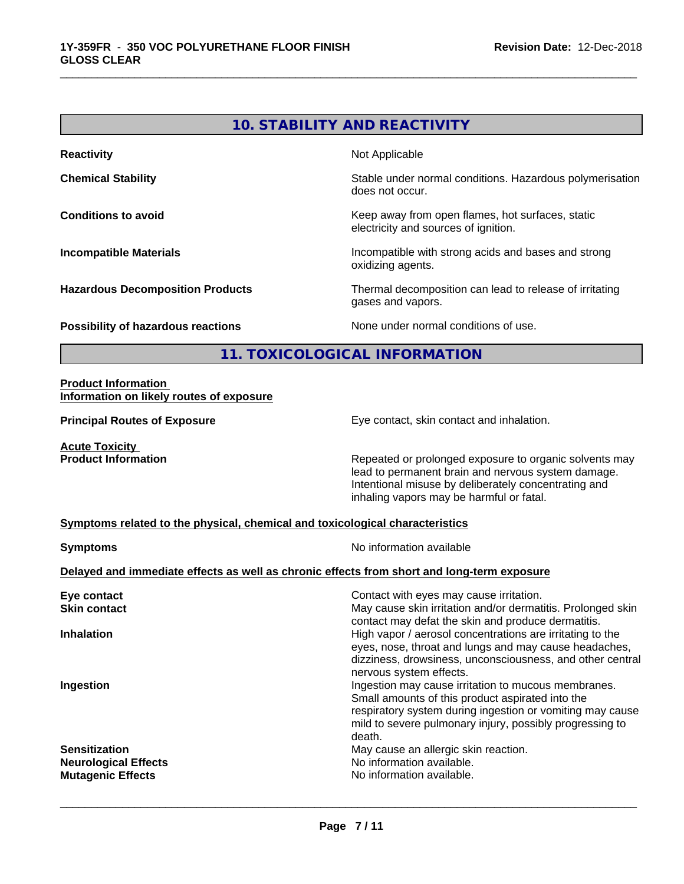# **10. STABILITY AND REACTIVITY**

\_\_\_\_\_\_\_\_\_\_\_\_\_\_\_\_\_\_\_\_\_\_\_\_\_\_\_\_\_\_\_\_\_\_\_\_\_\_\_\_\_\_\_\_\_\_\_\_\_\_\_\_\_\_\_\_\_\_\_\_\_\_\_\_\_\_\_\_\_\_\_\_\_\_\_\_\_\_\_\_\_\_\_\_\_\_\_\_\_\_\_\_\_

**Reactivity Not Applicable Not Applicable Chemical Stability Chemical Stability** Stable under normal conditions. Hazardous polymerisation does not occur. **Conditions to avoid Conditions to avoid Conditions keep** away from open flames, hot surfaces, static electricity and sources of ignition. **Incompatible Materials Incompatible with strong acids and bases and strong** oxidizing agents. **Hazardous Decomposition Products** Thermal decomposition can lead to release of irritating gases and vapors. **Possibility of hazardous reactions** None under normal conditions of use.

**11. TOXICOLOGICAL INFORMATION**

#### **Product Information Information on likely routes of exposure**

**Principal Routes of Exposure Exposure** Eye contact, skin contact and inhalation.

**Acute Toxicity<br>Product Information** 

Repeated or prolonged exposure to organic solvents may lead to permanent brain and nervous system damage. Intentional misuse by deliberately concentrating and inhaling vapors may be harmful or fatal.

#### **Symptoms related to the physical,chemical and toxicological characteristics**

| <b>Symptoms</b>                                                                            | No information available                                                                                                                                             |  |
|--------------------------------------------------------------------------------------------|----------------------------------------------------------------------------------------------------------------------------------------------------------------------|--|
| Delayed and immediate effects as well as chronic effects from short and long-term exposure |                                                                                                                                                                      |  |
| Eye contact<br><b>Skin contact</b>                                                         | Contact with eyes may cause irritation.<br>May cause skin irritation and/or dermatitis. Prolonged skin                                                               |  |
| <b>Inhalation</b>                                                                          | contact may defat the skin and produce dermatitis.<br>High vapor / aerosol concentrations are irritating to the                                                      |  |
|                                                                                            | eyes, nose, throat and lungs and may cause headaches,<br>dizziness, drowsiness, unconsciousness, and other central<br>nervous system effects.                        |  |
| Ingestion                                                                                  | Ingestion may cause irritation to mucous membranes.<br>Small amounts of this product aspirated into the<br>respiratory system during ingestion or vomiting may cause |  |
|                                                                                            | mild to severe pulmonary injury, possibly progressing to<br>death.                                                                                                   |  |
| <b>Sensitization</b><br><b>Neurological Effects</b>                                        | May cause an allergic skin reaction.<br>No information available.                                                                                                    |  |
| <b>Mutagenic Effects</b>                                                                   | No information available.                                                                                                                                            |  |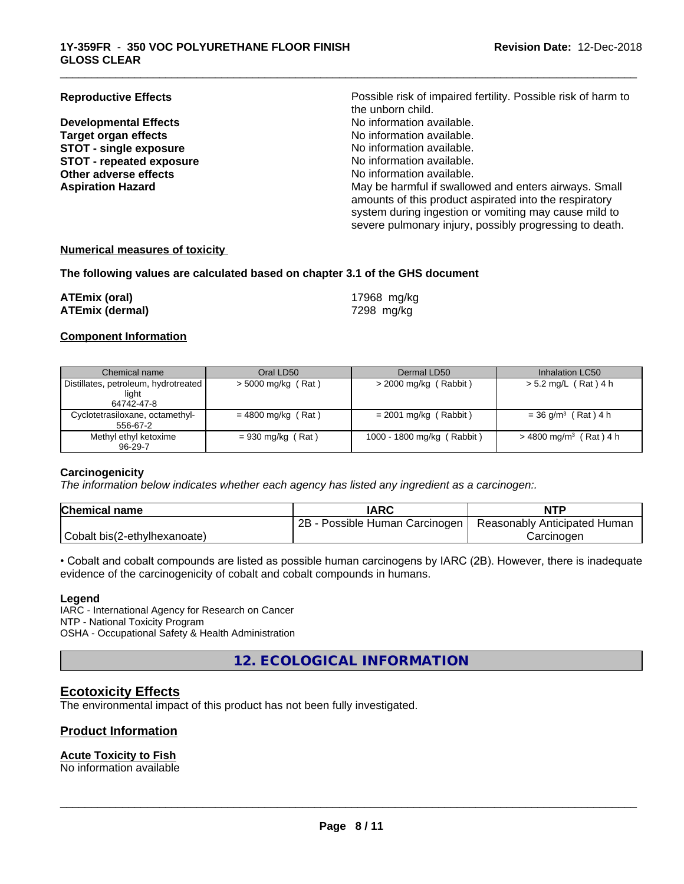**Developmental Effects Target organ effects No information available.**<br> **STOT - single exposure No information available. STOT** - single exposure<br> **STOT** - repeated exposure<br> **STOT** - repeated exposure<br> **STOT** - repeated exposure **STOT** - repeated exposure **Other adverse effects** No information available.

**Reproductive Effects Possible risk of impaired fertility. Possible risk of harm to** the unborn child.<br>No information available. **Aspiration Hazard** May be harmful if swallowed and enters airways. Small amounts of this product aspirated into the respiratory system during ingestion or vomiting may cause mild to severe pulmonary injury, possibly progressing to death.

\_\_\_\_\_\_\_\_\_\_\_\_\_\_\_\_\_\_\_\_\_\_\_\_\_\_\_\_\_\_\_\_\_\_\_\_\_\_\_\_\_\_\_\_\_\_\_\_\_\_\_\_\_\_\_\_\_\_\_\_\_\_\_\_\_\_\_\_\_\_\_\_\_\_\_\_\_\_\_\_\_\_\_\_\_\_\_\_\_\_\_\_\_

#### **Numerical measures of toxicity**

#### **The following values are calculated based on chapter 3.1 of the GHS document**

| ATEmix (oral)   | 17968 mg/kg |
|-----------------|-------------|
| ATEmix (dermal) | 7298 mg/kg  |

#### **Component Information**

| Chemical name                                               | Oral LD50            | Dermal LD50                | Inhalation LC50                      |
|-------------------------------------------------------------|----------------------|----------------------------|--------------------------------------|
| Distillates, petroleum, hydrotreated<br>light<br>64742-47-8 | $>$ 5000 mg/kg (Rat) | > 2000 mg/kg (Rabbit)      | > 5.2 mg/L (Rat) 4 h                 |
| Cyclotetrasiloxane, octamethyl-<br>556-67-2                 | $= 4800$ mg/kg (Rat) | $= 2001$ mg/kg (Rabbit)    | $= 36$ g/m <sup>3</sup> (Rat) 4 h    |
| Methyl ethyl ketoxime<br>$96 - 29 - 7$                      | $= 930$ mg/kg (Rat)  | 1000 - 1800 mg/kg (Rabbit) | $>$ 4800 mg/m <sup>3</sup> (Rat) 4 h |

#### **Carcinogenicity**

*The information below indicateswhether each agency has listed any ingredient as a carcinogen:.*

| <b>Chemical name</b>         | <b>IARC</b>                     | <b>NTP</b>                   |
|------------------------------|---------------------------------|------------------------------|
|                              | 2B<br>Possible Human Carcinogen | Reasonably Anticipated Human |
| Cobalt bis(2-ethylhexanoate) |                                 | Carcinogen                   |

• Cobalt and cobalt compounds are listed as possible human carcinogens by IARC (2B). However, there is inadequate evidence of the carcinogenicity of cobalt and cobalt compounds in humans.

#### **Legend**

IARC - International Agency for Research on Cancer NTP - National Toxicity Program OSHA - Occupational Safety & Health Administration

**12. ECOLOGICAL INFORMATION**

## **Ecotoxicity Effects**

The environmental impact of this product has not been fully investigated.

## **Product Information**

### **Acute Toxicity to Fish**

No information available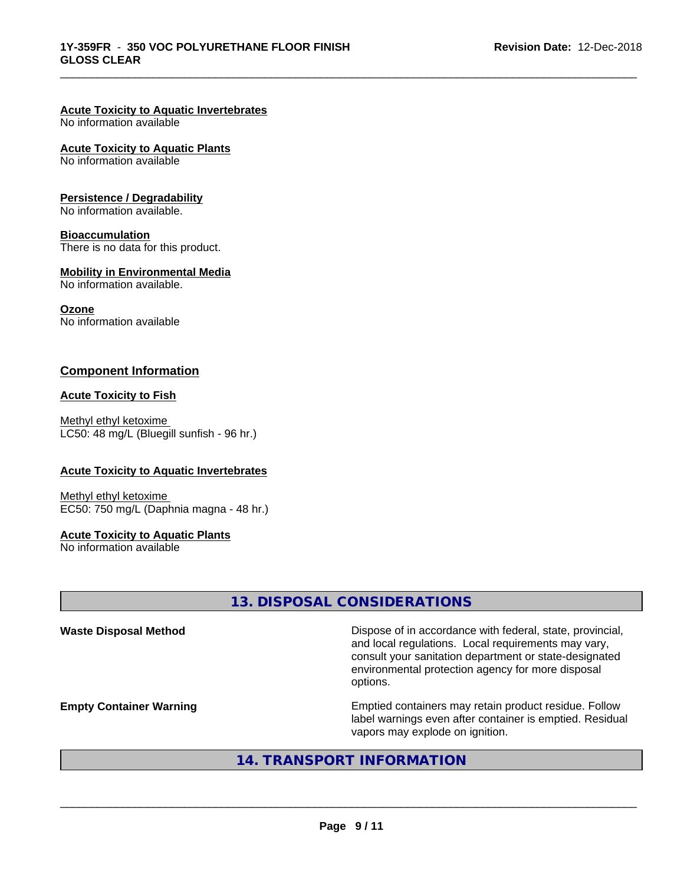# **Acute Toxicity to Aquatic Invertebrates**

No information available

#### **Acute Toxicity to Aquatic Plants**

No information available

#### **Persistence / Degradability**

No information available.

### **Bioaccumulation**

There is no data for this product.

#### **Mobility in Environmental Media**

No information available.

#### **Ozone**

No information available

## **Component Information**

#### **Acute Toxicity to Fish**

Methyl ethyl ketoxime LC50: 48 mg/L (Bluegill sunfish - 96 hr.)

#### **Acute Toxicity to Aquatic Invertebrates**

Methyl ethyl ketoxime EC50: 750 mg/L (Daphnia magna - 48 hr.)

### **Acute Toxicity to Aquatic Plants**

No information available

# **13. DISPOSAL CONSIDERATIONS**

\_\_\_\_\_\_\_\_\_\_\_\_\_\_\_\_\_\_\_\_\_\_\_\_\_\_\_\_\_\_\_\_\_\_\_\_\_\_\_\_\_\_\_\_\_\_\_\_\_\_\_\_\_\_\_\_\_\_\_\_\_\_\_\_\_\_\_\_\_\_\_\_\_\_\_\_\_\_\_\_\_\_\_\_\_\_\_\_\_\_\_\_\_

| <b>Waste Disposal Method</b>   | Dispose of in accordance with federal, state, provincial,<br>and local regulations. Local requirements may vary,<br>consult your sanitation department or state-designated<br>environmental protection agency for more disposal<br>options. |
|--------------------------------|---------------------------------------------------------------------------------------------------------------------------------------------------------------------------------------------------------------------------------------------|
| <b>Empty Container Warning</b> | Emptied containers may retain product residue. Follow<br>label warnings even after container is emptied. Residual<br>vapors may explode on ignition.                                                                                        |

# **14. TRANSPORT INFORMATION**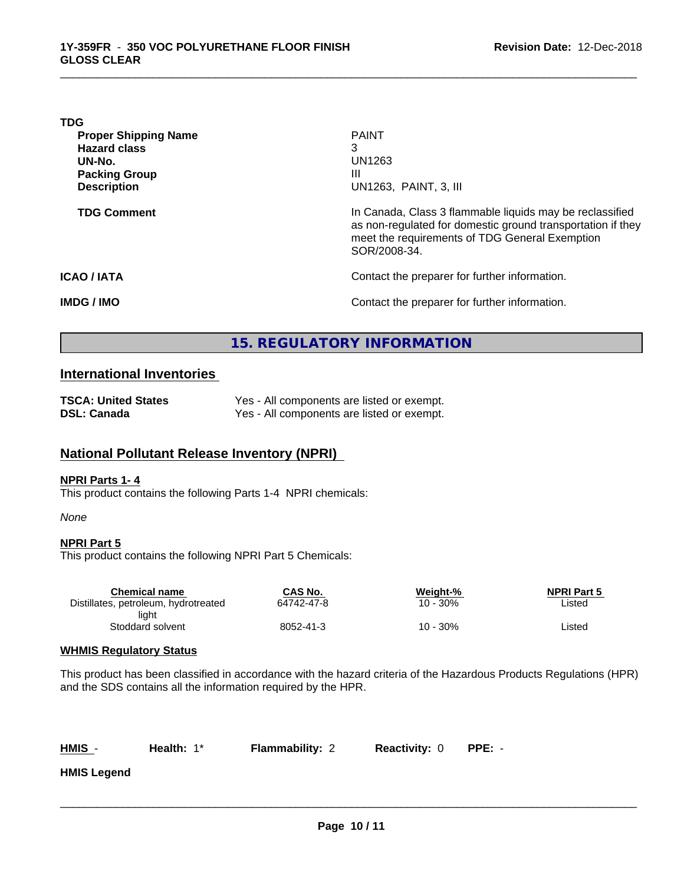| <b>PAINT</b>                                                                                                                                                                              |
|-------------------------------------------------------------------------------------------------------------------------------------------------------------------------------------------|
| 3                                                                                                                                                                                         |
| UN1263                                                                                                                                                                                    |
| Ш                                                                                                                                                                                         |
| UN1263, PAINT, 3, III                                                                                                                                                                     |
| In Canada, Class 3 flammable liquids may be reclassified<br>as non-regulated for domestic ground transportation if they<br>meet the requirements of TDG General Exemption<br>SOR/2008-34. |
| Contact the preparer for further information.                                                                                                                                             |
| Contact the preparer for further information.                                                                                                                                             |
|                                                                                                                                                                                           |

\_\_\_\_\_\_\_\_\_\_\_\_\_\_\_\_\_\_\_\_\_\_\_\_\_\_\_\_\_\_\_\_\_\_\_\_\_\_\_\_\_\_\_\_\_\_\_\_\_\_\_\_\_\_\_\_\_\_\_\_\_\_\_\_\_\_\_\_\_\_\_\_\_\_\_\_\_\_\_\_\_\_\_\_\_\_\_\_\_\_\_\_\_

# **15. REGULATORY INFORMATION**

## **International Inventories**

| <b>TSCA: United States</b> | Yes - All components are listed or exempt. |
|----------------------------|--------------------------------------------|
| DSL: Canada                | Yes - All components are listed or exempt. |

# **National Pollutant Release Inventory (NPRI)**

#### **NPRI Parts 1- 4**

This product contains the following Parts 1-4 NPRI chemicals:

#### *None*

#### **NPRI Part 5**

This product contains the following NPRI Part 5 Chemicals:

| Chemical name                        | CAS No.    | Weight-% | <b>NPRI Part 5</b> |  |
|--------------------------------------|------------|----------|--------------------|--|
| Distillates, petroleum, hydrotreated | 64742-47-8 | 10 - 30% | ∟isted             |  |
| liaht                                |            |          |                    |  |
| Stoddard solvent                     | 8052-41-3  | 10 - 30% | ∟isted             |  |
|                                      |            |          |                    |  |

## **WHMIS Regulatory Status**

This product has been classified in accordance with the hazard criteria of the Hazardous Products Regulations (HPR) and the SDS contains all the information required by the HPR.

**Health:** 1\* **Flammability: 2 Reactivity: 0 PPE:** -

 $\overline{\phantom{a}}$  ,  $\overline{\phantom{a}}$  ,  $\overline{\phantom{a}}$  ,  $\overline{\phantom{a}}$  ,  $\overline{\phantom{a}}$  ,  $\overline{\phantom{a}}$  ,  $\overline{\phantom{a}}$  ,  $\overline{\phantom{a}}$  ,  $\overline{\phantom{a}}$  ,  $\overline{\phantom{a}}$  ,  $\overline{\phantom{a}}$  ,  $\overline{\phantom{a}}$  ,  $\overline{\phantom{a}}$  ,  $\overline{\phantom{a}}$  ,  $\overline{\phantom{a}}$  ,  $\overline{\phantom{a}}$ 

**HMIS Legend**